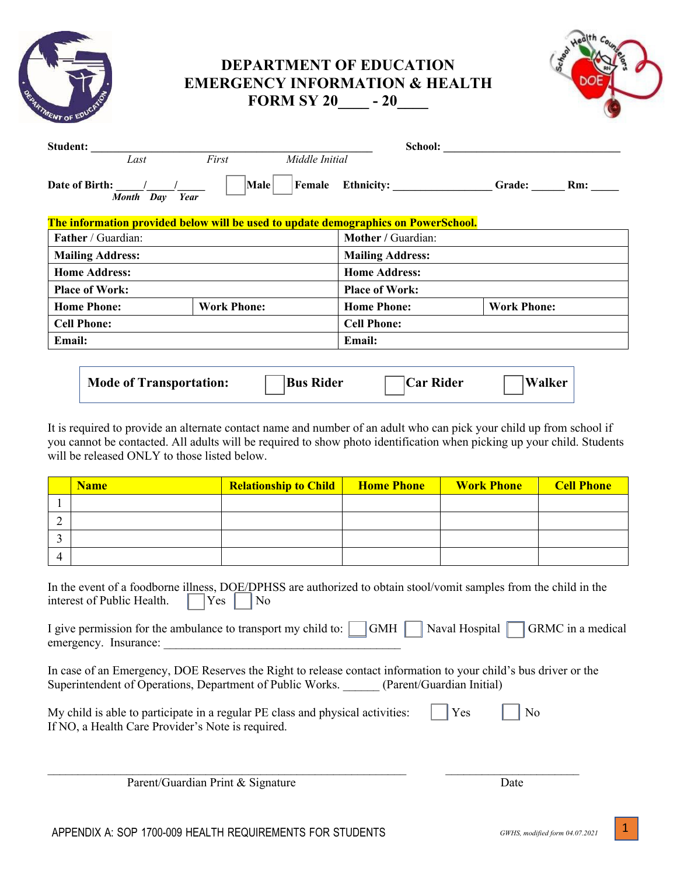| <b>DEPARTMENT OF EDUCATION</b>            |
|-------------------------------------------|
| <b>EMERGENCY INFORMATION &amp; HEALTH</b> |
| <b>FORM SY 20</b><br>$-20$                |



|                    |        | School:                 |                |                                                                                                          |
|--------------------|--------|-------------------------|----------------|----------------------------------------------------------------------------------------------------------|
| First              |        |                         |                |                                                                                                          |
| Male               | Female |                         | Grade:         | Rm:                                                                                                      |
|                    |        |                         |                |                                                                                                          |
|                    |        | Mother / Guardian:      |                |                                                                                                          |
|                    |        | <b>Mailing Address:</b> |                |                                                                                                          |
|                    |        | <b>Home Address:</b>    |                |                                                                                                          |
|                    |        | <b>Place of Work:</b>   |                |                                                                                                          |
| <b>Work Phone:</b> |        | <b>Home Phone:</b>      |                |                                                                                                          |
|                    |        | <b>Cell Phone:</b>      |                |                                                                                                          |
|                    |        | <b>Email:</b>           |                |                                                                                                          |
|                    |        |                         |                |                                                                                                          |
|                    | Year   |                         | Middle Initial | The information provided below will be used to update demographics on PowerSchool.<br><b>Work Phone:</b> |

| <b>Mode of Transportation:</b> | <b>Bus Rider</b> | <b>Car Rider</b> | <b>Walker</b> |
|--------------------------------|------------------|------------------|---------------|
|--------------------------------|------------------|------------------|---------------|

It is required to provide an alternate contact name and number of an adult who can pick your child up from school if you cannot be contacted. All adults will be required to show photo identification when picking up your child. Students will be released ONLY to those listed below.

|          | <b>Name</b> | <b>Relationship to Child</b> | <b>Home Phone</b> | <b>Work Phone</b> | <b>Cell Phone</b> |
|----------|-------------|------------------------------|-------------------|-------------------|-------------------|
|          |             |                              |                   |                   |                   |
|          |             |                              |                   |                   |                   |
|          |             |                              |                   |                   |                   |
| $\Delta$ |             |                              |                   |                   |                   |

| In the event of a foodborne illness, DOE/DPHSS are authorized to obtain stool/vomit samples from the child in the |  |  |  |  |
|-------------------------------------------------------------------------------------------------------------------|--|--|--|--|
| interest of Public Health. $\Box$ Yes $\Box$ No                                                                   |  |  |  |  |

| I give permission for the ambulance to transport my child to: $\Box$ GMH $\Box$ Naval Hospital $\Box$ GRMC in a medical |  |  |  |
|-------------------------------------------------------------------------------------------------------------------------|--|--|--|
| emergency. Insurance:                                                                                                   |  |  |  |

In case of an Emergency, DOE Reserves the Right to release contact information to your child's bus driver or the Superintendent of Operations, Department of Public Works. \_\_\_\_\_\_ (Parent/Guardian Initial)

| My child is able to participate in a regular PE class and physical activities: | $\vert$ Yes $\vert$ No |  |
|--------------------------------------------------------------------------------|------------------------|--|
| If NO, a Health Care Provider's Note is required.                              |                        |  |

 $\mathcal{L}_\mathcal{L} = \{ \mathcal{L}_\mathcal{L} = \{ \mathcal{L}_\mathcal{L} = \{ \mathcal{L}_\mathcal{L} = \{ \mathcal{L}_\mathcal{L} = \{ \mathcal{L}_\mathcal{L} = \{ \mathcal{L}_\mathcal{L} = \{ \mathcal{L}_\mathcal{L} = \{ \mathcal{L}_\mathcal{L} = \{ \mathcal{L}_\mathcal{L} = \{ \mathcal{L}_\mathcal{L} = \{ \mathcal{L}_\mathcal{L} = \{ \mathcal{L}_\mathcal{L} = \{ \mathcal{L}_\mathcal{L} = \{ \mathcal{L}_\mathcal{$ 

Parent/Guardian Print & Signature Date